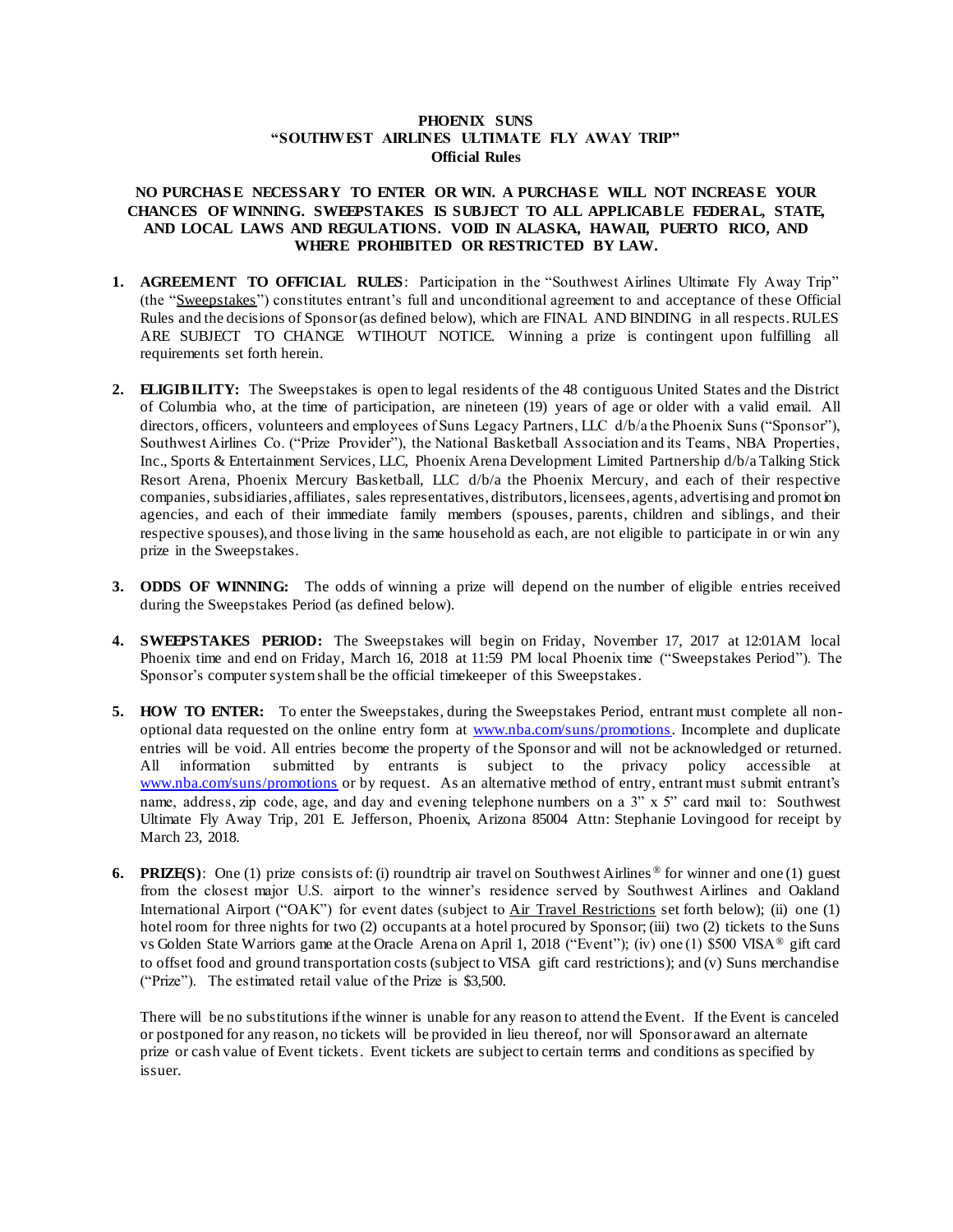## **PHOENIX SUNS "SOUTHWEST AIRLINES ULTIMATE FLY AWAY TRIP" Official Rules**

## NO PURCHASE NECESSARY TO ENTER OR WIN. A PURCHASE WILL NOT INCREASE YOUR **CHANCES OF WINNING. SWEEPSTAKES IS SUBJECT TO ALL APPLICABLE FEDERAL, STATE, AND LOCAL LAWS AND REGULATIONS. VOID IN ALASKA, HAWAII, PUERTO RICO, AND WHERE PROHIBITED OR RESTRICTED BY LAW.**

- **1. AGREEMENT TO OFFICIAL RULES**: Participation in the "Southwest Airlines Ultimate Fly Away Trip" (the "Sweepstakes") constitutes entrant's full and unconditional agreement to and acceptance of these Official Rules and the decisions of Sponsor (as defined below), which are FINAL AND BINDING in all respects. RULES ARE SUBJECT TO CHANGE WTIHOUT NOTICE. Winning a prize is contingent upon fulfilling all requirements set forth herein.
- **2. ELIGIBILITY:** The Sweepstakes is open to legal residents of the 48 contiguous United States and the District of Columbia who, at the time of participation, are nineteen (19) years of age or older with a valid email. All directors, officers, volunteers and employees of Suns Legacy Partners, LLC d/b/a the Phoenix Suns ("Sponsor"), Southwest Airlines Co. ("Prize Provider"), the National Basketball Association and its Teams, NBA Properties, Inc., Sports & Entertainment Services, LLC, Phoenix Arena Development Limited Partnership d/b/a Talking Stick Resort Arena, Phoenix Mercury Basketball, LLC d/b/a the Phoenix Mercury, and each of their respective companies, subsidiaries, affiliates, sales representatives, distributors, licensees, agents, advertising and promot ion agencies, and each of their immediate family members (spouses, parents, children and siblings, and their respective spouses), and those living in the same household as each, are not eligible to participate in or win any prize in the Sweepstakes.
- **3. ODDS OF WINNING:** The odds of winning a prize will depend on the number of eligible entries received during the Sweepstakes Period (as defined below).
- **4. SWEEPSTAKES PERIOD:** The Sweepstakes will begin on Friday, November 17, 2017 at 12:01AM local Phoenix time and end on Friday, March 16, 2018 at 11:59 PM local Phoenix time ("Sweepstakes Period"). The Sponsor's computer system shall be the official timekeeper of this Sweepstakes.
- **5. HOW TO ENTER:** To enter the Sweepstakes, during the Sweepstakes Period, entrant must complete all nonoptional data requested on the online entry form at [www.nba.com/suns/promotions.](http://www.nba.com/suns/promotions) Incomplete and duplicate entries will be void. All entries become the property of the Sponsor and will not be acknowledged or returned. All information submitted by entrants is subject to the privacy policy accessible at [www.nba.com/suns/promotions](http://www.nba.com/suns/promotions) or by request. As an alternative method of entry, entrant must submit entrant's name, address, zip code, age, and day and evening telephone numbers on a 3" x 5" card mail to: Southwest Ultimate Fly Away Trip, 201 E. Jefferson, Phoenix, Arizona 85004 Attn: Stephanie Lovingood for receipt by March 23, 2018.
- **6. PRIZE(S)**: One (1) prize consists of: (i) roundtrip air travel on Southwest Airlines ® for winner and one (1) guest from the closest major U.S. airport to the winner's residence served by Southwest Airlines and Oakland International Airport ("OAK") for event dates (subject to Air Travel Restrictions set forth below); (ii) one (1) hotel room for three nights for two (2) occupants at a hotel procured by Sponsor; (iii) two (2) tickets to the Suns vs Golden State Warriors game at the Oracle Arena on April 1, 2018 ("Event"); (iv) one (1) \$500 VISA® gift card to offset food and ground transportation costs (subject to VISA gift card restrictions); and (v) Suns merchandise ("Prize"). The estimated retail value of the Prize is \$3,500.

There will be no substitutions if the winner is unable for any reason to attend the Event. If the Event is canceled or postponed for any reason, no tickets will be provided in lieu thereof, nor will Sponsor award an alternate prize or cash value of Event tickets. Event tickets are subject to certain terms and conditions as specified by issuer.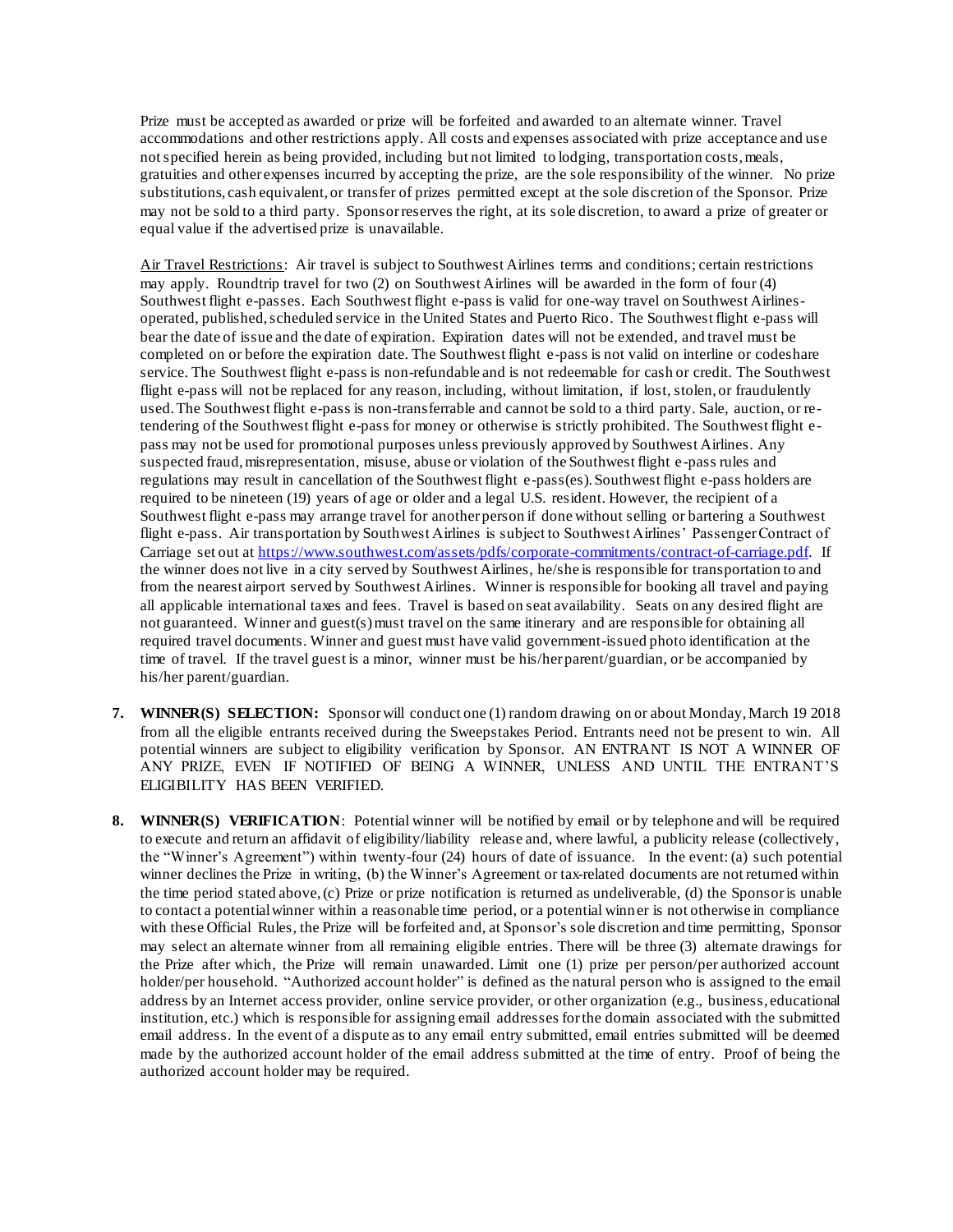Prize must be accepted as awarded or prize will be forfeited and awarded to an alternate winner. Travel accommodations and other restrictions apply. All costs and expenses associated with prize acceptance and use not specified herein as being provided, including but not limited to lodging, transportation costs, meals, gratuities and other expenses incurred by accepting the prize, are the sole responsibility of the winner. No prize substitutions, cash equivalent, or transfer of prizes permitted except at the sole discretion of the Sponsor. Prize may not be sold to a third party. Sponsor reserves the right, at its sole discretion, to award a prize of greater or equal value if the advertised prize is unavailable.

Air Travel Restrictions: Air travel is subject to Southwest Airlines terms and conditions; certain restrictions may apply. Roundtrip travel for two (2) on Southwest Airlines will be awarded in the form of four (4) Southwest flight e-passes. Each Southwest flight e-pass is valid for one-way travel on Southwest Airlinesoperated, published, scheduled service in the United States and Puerto Rico. The Southwest flight e-pass will bear the date of issue and the date of expiration. Expiration dates will not be extended, and travel must be completed on or before the expiration date. The Southwest flight e-pass is not valid on interline or codeshare service. The Southwest flight e-pass is non-refundable and is not redeemable for cash or credit. The Southwest flight e-pass will not be replaced for any reason, including, without limitation, if lost, stolen, or fraudulently used. The Southwest flight e-pass is non-transferrable and cannot be sold to a third party. Sale, auction, or retendering of the Southwest flight e-pass for money or otherwise is strictly prohibited. The Southwest flight epass may not be used for promotional purposes unless previously approved by Southwest Airlines. Any suspected fraud, misrepresentation, misuse, abuse or violation of the Southwest flight e-pass rules and regulations may result in cancellation of the Southwest flight e-pass(es). Southwest flight e-pass holders are required to be nineteen (19) years of age or older and a legal U.S. resident. However, the recipient of a Southwest flight e-pass may arrange travel for another person if done without selling or bartering a Southwest flight e-pass. Air transportation by Southwest Airlines is subject to Southwest Airlines' Passenger Contract of Carriage set out a[t https://www.southwest.com/assets/pdfs/corporate-commitments/contract-of-carriage.pdf.](https://www.southwest.com/assets/pdfs/corporate-commitments/contract-of-carriage.pdf) If the winner does not live in a city served by Southwest Airlines, he/she is responsible for transportation to and from the nearest airport served by Southwest Airlines. Winner is responsible for booking all travel and paying all applicable international taxes and fees. Travel is based on seat availability. Seats on any desired flight are not guaranteed. Winner and guest(s) must travel on the same itinerary and are responsible for obtaining all required travel documents. Winner and guest must have valid government-issued photo identification at the time of travel. If the travel guest is a minor, winner must be his/her parent/guardian, or be accompanied by his/her parent/guardian.

- **7. WINNER(S) SELECTION:** Sponsor will conduct one (1) random drawing on or about Monday, March 19 2018 from all the eligible entrants received during the Sweepstakes Period. Entrants need not be present to win. All potential winners are subject to eligibility verification by Sponsor. AN ENTRANT IS NOT A WINNER OF ANY PRIZE, EVEN IF NOTIFIED OF BEING A WINNER, UNLESS AND UNTIL THE ENTRANT'S ELIGIBILITY HAS BEEN VERIFIED.
- **8. WINNER(S) VERIFICATION**: Potential winner will be notified by email or by telephone and will be required to execute and return an affidavit of eligibility/liability release and, where lawful, a publicity release (collectively, the "Winner's Agreement") within twenty-four (24) hours of date of issuance. In the event: (a) such potential winner declines the Prize in writing, (b) the Winner's Agreement or tax-related documents are not returned within the time period stated above, (c) Prize or prize notification is returned as undeliverable, (d) the Sponsoris unable to contact a potential winner within a reasonable time period, or a potential winner is not otherwise in compliance with these Official Rules, the Prize will be forfeited and, at Sponsor's sole discretion and time permitting, Sponsor may select an alternate winner from all remaining eligible entries. There will be three (3) alternate drawings for the Prize after which, the Prize will remain unawarded. Limit one (1) prize per person/per authorized account holder/per household. "Authorized account holder" is defined as the natural person who is assigned to the email address by an Internet access provider, online service provider, or other organization (e.g., business, educational institution, etc.) which is responsible for assigning email addresses for the domain associated with the submitted email address. In the event of a dispute as to any email entry submitted, email entries submitted will be deemed made by the authorized account holder of the email address submitted at the time of entry. Proof of being the authorized account holder may be required.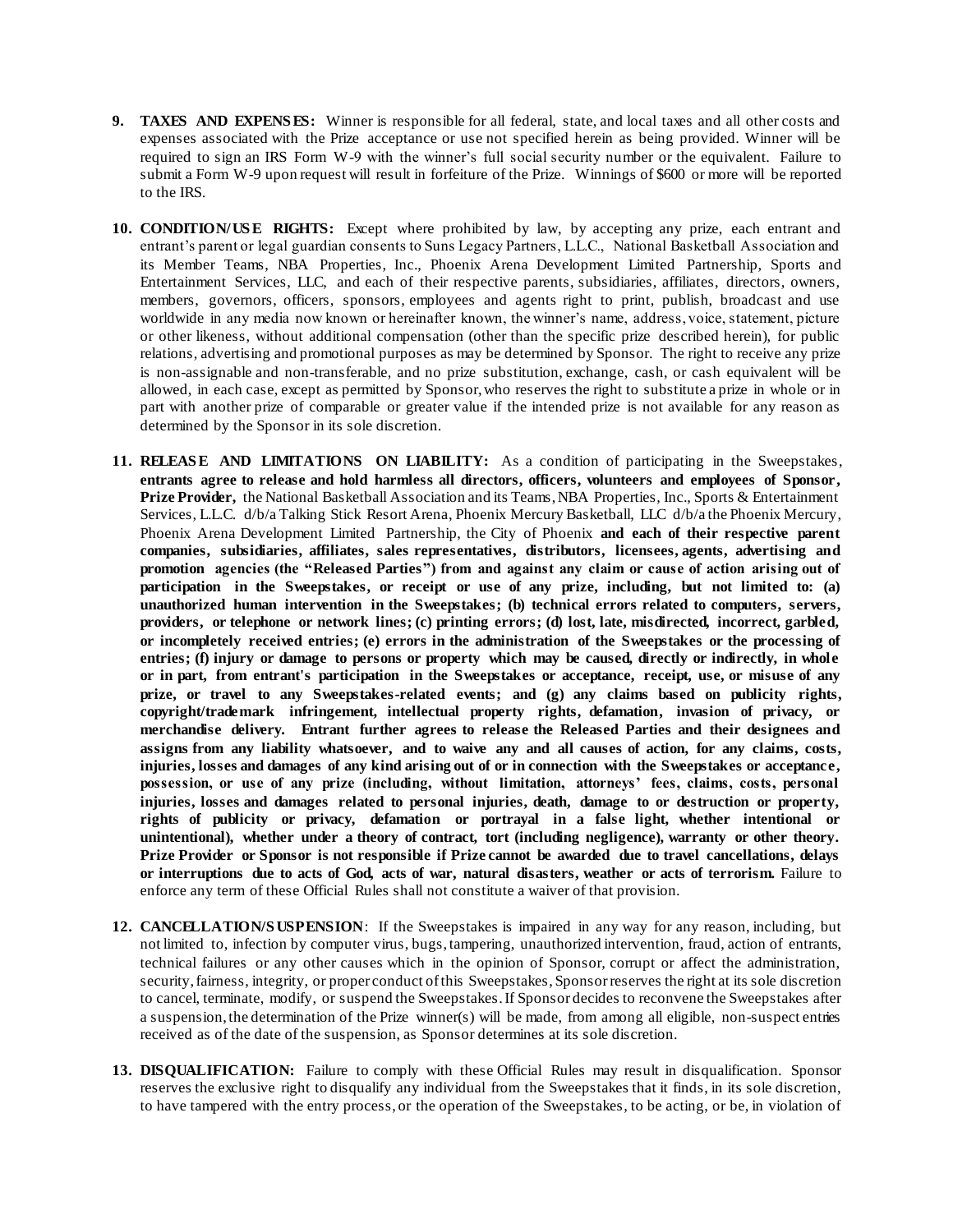- **9. TAXES AND EXPENS ES:** Winner is responsible for all federal, state, and local taxes and all other costs and expenses associated with the Prize acceptance or use not specified herein as being provided. Winner will be required to sign an IRS Form W-9 with the winner's full social security number or the equivalent. Failure to submit a Form W-9 upon request will result in forfeiture of the Prize. Winnings of \$600 or more will be reported to the IRS.
- **10. CONDITION/US E RIGHTS:** Except where prohibited by law, by accepting any prize, each entrant and entrant's parent or legal guardian consents to Suns Legacy Partners, L.L.C., National Basketball Association and its Member Teams, NBA Properties, Inc., Phoenix Arena Development Limited Partnership, Sports and Entertainment Services, LLC, and each of their respective parents, subsidiaries, affiliates, directors, owners, members, governors, officers, sponsors, employees and agents right to print, publish, broadcast and use worldwide in any media now known or hereinafter known, the winner's name, address, voice, statement, picture or other likeness, without additional compensation (other than the specific prize described herein), for public relations, advertising and promotional purposes as may be determined by Sponsor. The right to receive any prize is non-assignable and non-transferable, and no prize substitution, exchange, cash, or cash equivalent will be allowed, in each case, except as permitted by Sponsor, who reserves the right to substitute a prize in whole or in part with another prize of comparable or greater value if the intended prize is not available for any reason as determined by the Sponsor in its sole discretion.
- **11. RELEAS E AND LIMITATIONS ON LIABILITY:** As a condition of participating in the Sweepstakes, **entrants agree to release and hold harmless all directors, officers, volunteers and employees of Sponsor, Prize Provider,** the National Basketball Association and its Teams, NBA Properties, Inc., Sports & Entertainment Services, L.L.C. d/b/a Talking Stick Resort Arena, Phoenix Mercury Basketball, LLC d/b/a the Phoenix Mercury, Phoenix Arena Development Limited Partnership, the City of Phoenix **and each of their respective parent companies, subsidiaries, affiliates, sales representatives, distributors, licensees, agents, advertising and promotion agencies (the "Released Parties") from and against any claim or cause of action arising out of participation in the Sweepstakes, or receipt or use of any prize, including, but not limited to: (a) unauthorized human intervention in the Sweepstakes; (b) technical errors related to computers, servers, providers, or telephone or network lines; (c) printing errors; (d) lost, late, misdirected, incorrect, garbled, or incompletely received entries; (e) errors in the administration of the Sweepstakes or the processing of entries; (f) injury or damage to persons or property which may be caused, directly or indirectly, in whole or in part, from entrant's participation in the Sweepstakes or acceptance, receipt, use, or misuse of any prize, or travel to any Sweepstakes-related events; and (g) any claims based on publicity rights, copyright/trademark infringement, intellectual property rights, defamation, invasion of privacy, or merchandise delivery. Entrant further agrees to release the Released Parties and their designees and assigns from any liability whatsoever, and to waive any and all causes of action, for any claims, costs, injuries, losses and damages of any kind arising out of or in connection with the Sweepstakes or acceptance, possession, or use of any prize (including, without limitation, attorneys' fees, claims, costs, personal injuries, losses and damages related to personal injuries, death, damage to or destruction or property, rights of publicity or privacy, defamation or portrayal in a false light, whether intentional or unintentional), whether under a theory of contract, tort (including negligence), warranty or other theory. Prize Provider or Sponsor is not responsible if Prize cannot be awarded due to travel cancellations, delays or interruptions due to acts of God, acts of war, natural disasters, weather or acts of terrorism.** Failure to enforce any term of these Official Rules shall not constitute a waiver of that provision.
- **12. CANCELLATION/S USPENSION**: If the Sweepstakes is impaired in any way for any reason, including, but not limited to, infection by computer virus, bugs, tampering, unauthorized intervention, fraud, action of entrants, technical failures or any other causes which in the opinion of Sponsor, corrupt or affect the administration, security, fairness, integrity, or proper conduct of this Sweepstakes, Sponsorreserves the right at its sole discretion to cancel, terminate, modify, or suspend the Sweepstakes. If Sponsor decides to reconvene the Sweepstakes after a suspension, the determination of the Prize winner(s) will be made, from among all eligible, non-suspect entries received as of the date of the suspension, as Sponsor determines at its sole discretion.
- **13. DISQUALIFICATION:** Failure to comply with these Official Rules may result in disqualification. Sponsor reserves the exclusive right to disqualify any individual from the Sweepstakes that it finds, in its sole discretion, to have tampered with the entry process, or the operation of the Sweepstakes, to be acting, or be, in violation of